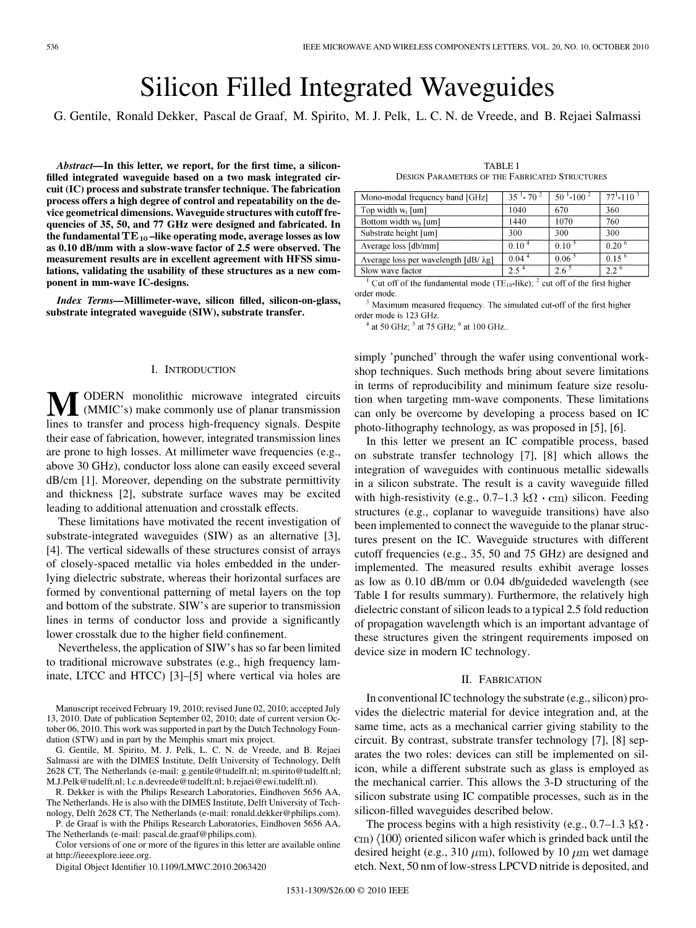# Silicon Filled Integrated Waveguides

G. Gentile, Ronald Dekker, Pascal de Graaf, M. Spirito, M. J. Pelk, L. C. N. de Vreede, and B. Rejaei Salmassi

*Abstract—***In this letter, we report, for the first time, a siliconfilled integrated waveguide based on a two mask integrated circuit (IC) process and substrate transfer technique. The fabrication process offers a high degree of control and repeatability on the device geometrical dimensions. Waveguide structures with cutoff frequencies of 35, 50, and 77 GHz were designed and fabricated. In** the fundamental TE<sub>10</sub>-like operating mode, average losses as low **as 0.10 dB/mm with a slow-wave factor of 2.5 were observed. The measurement results are in excellent agreement with HFSS simulations, validating the usability of these structures as a new component in mm-wave IC-designs.**

*Index Terms—***Millimeter-wave, silicon filled, silicon-on-glass, substrate integrated waveguide (SIW), substrate transfer.**

### I. INTRODUCTION

**ODERN** monolithic microwave integrated circuits (MMIC's) make commonly use of planar transmission lines to transfer and process high-frequency signals. Despite their ease of fabrication, however, integrated transmission lines are prone to high losses. At millimeter wave frequencies (e.g., above 30 GHz), conductor loss alone can easily exceed several dB/cm [1]. Moreover, depending on the substrate permittivity and thickness [2], substrate surface waves may be excited leading to additional attenuation and crosstalk effects.

These limitations have motivated the recent investigation of substrate-integrated waveguides (SIW) as an alternative [3], [4]. The vertical sidewalls of these structures consist of arrays of closely-spaced metallic via holes embedded in the underlying dielectric substrate, whereas their horizontal surfaces are formed by conventional patterning of metal layers on the top and bottom of the substrate. SIW's are superior to transmission lines in terms of conductor loss and provide a significantly lower crosstalk due to the higher field confinement.

Nevertheless, the application of SIW's has so far been limited to traditional microwave substrates (e.g., high frequency laminate, LTCC and HTCC) [3]–[5] where vertical via holes are

G. Gentile, M. Spirito, M. J. Pelk, L. C. N. de Vreede, and B. Rejaei Salmassi are with the DIMES Institute, Delft University of Technology, Delft 2628 CT, The Netherlands (e-mail: g.gentile@tudelft.nl; m.spirito@tudelft.nl; M.J.Pelk@tudelft.nl; l.c.n.devreede@tudelft.nl; b.rejaei@ewi.tudelft.nl).

R. Dekker is with the Philips Research Laboratories, Eindhoven 5656 AA, The Netherlands. He is also with the DIMES Institute, Delft University of Technology, Delft 2628 CT, The Netherlands (e-mail: ronald.dekker@philips.com). P. de Graaf is with the Philips Research Laboratories, Eindhoven 5656 AA,

The Netherlands (e-mail: pascal.de.graaf@philips.com).

Color versions of one or more of the figures in this letter are available online at http://ieeexplore.ieee.org.

Digital Object Identifier 10.1109/LMWC.2010.2063420

TABLE I DESIGN PARAMETERS OF THE FABRICATED STRUCTURES

| Mono-modal frequency band [GHz]     | $35 - 70^2$ | $50^{-1}$ -100 <sup>2</sup> | $77^{1} - 110^{3}$ |
|-------------------------------------|-------------|-----------------------------|--------------------|
| Top width $w_t$ [um]                | 1040        | 670                         | 360                |
| Bottom width $wb$ [um]              | 1440        | 1070                        | 760                |
| Substrate height [um]               | 300         | 300                         | 300                |
| Average loss [db/mm]                | 0.10        | 0.10 <sup>5</sup>           | 0.20 <sup>6</sup>  |
| Average loss per wavelength [dB/λg] | 0.04        | $0.06^{\circ}$              | 0.15 <sup>6</sup>  |
| Slow wave factor                    |             |                             | つつり                |

<sup>1</sup> Cut off of the fundamental mode (TE<sub>10</sub>-like); <sup>2</sup> cut off of the first higher order mode.

Maximum measured frequency. The simulated cut-off of the first higher order mode is 123 GHz.

 $4$  at 50 GHz;  $5$  at 75 GHz;  $6$  at 100 GHz..

simply 'punched' through the wafer using conventional workshop techniques. Such methods bring about severe limitations in terms of reproducibility and minimum feature size resolution when targeting mm-wave components. These limitations can only be overcome by developing a process based on IC photo-lithography technology, as was proposed in [5], [6].

In this letter we present an IC compatible process, based on substrate transfer technology [7], [8] which allows the integration of waveguides with continuous metallic sidewalls in a silicon substrate. The result is a cavity waveguide filled with high-resistivity (e.g.,  $0.7-1.3 \text{ k}\Omega \cdot \text{cm}$ ) silicon. Feeding structures (e.g., coplanar to waveguide transitions) have also been implemented to connect the waveguide to the planar structures present on the IC. Waveguide structures with different cutoff frequencies (e.g., 35, 50 and 75 GHz) are designed and implemented. The measured results exhibit average losses as low as 0.10 dB/mm or 0.04 db/guideded wavelength (see Table I for results summary). Furthermore, the relatively high dielectric constant of silicon leads to a typical 2.5 fold reduction of propagation wavelength which is an important advantage of these structures given the stringent requirements imposed on device size in modern IC technology.

#### II. FABRICATION

In conventional IC technology the substrate (e.g., silicon) provides the dielectric material for device integration and, at the same time, acts as a mechanical carrier giving stability to the circuit. By contrast, substrate transfer technology [7], [8] separates the two roles: devices can still be implemented on silicon, while a different substrate such as glass is employed as the mechanical carrier. This allows the 3-D structuring of the silicon substrate using IC compatible processes, such as in the silicon-filled waveguides described below.

The process begins with a high resistivity (e.g.,  $0.7-1.3 \text{ k}\Omega$ .  $\langle$  cm)  $\langle$  100 $\rangle$  oriented silicon wafer which is grinded back until the desired height (e.g., 310  $\mu$ m), followed by 10  $\mu$ m wet damage etch. Next, 50 nm of low-stress LPCVD nitride is deposited, and

Manuscript received February 19, 2010; revised June 02, 2010; accepted July 13, 2010. Date of publication September 02, 2010; date of current version October 06, 2010. This work was supported in part by the Dutch Technology Foundation (STW) and in part by the Memphis smart mix project.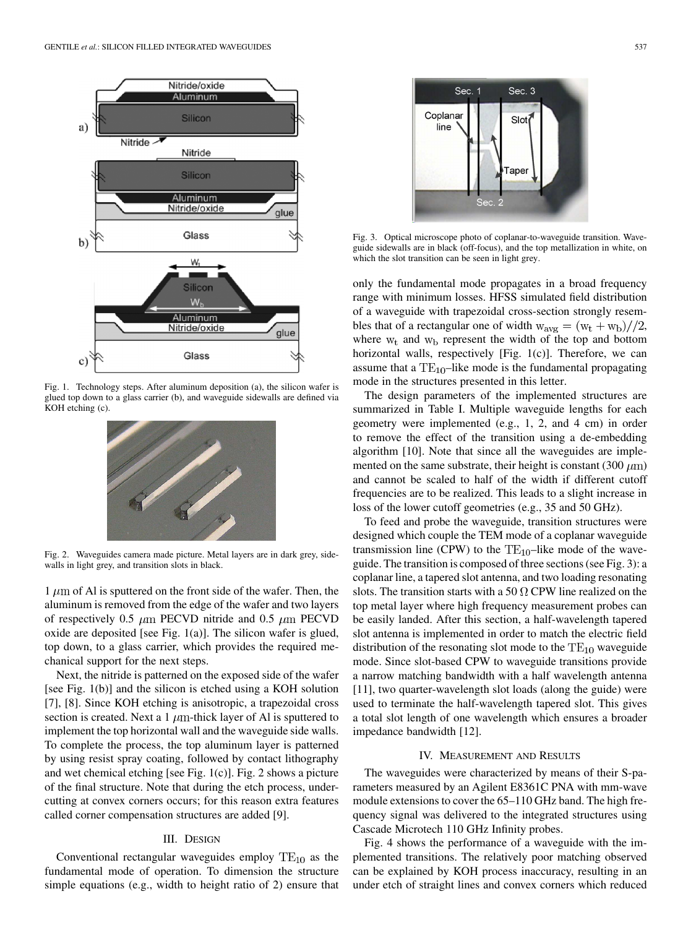

Fig. 1. Technology steps. After aluminum deposition (a), the silicon wafer is glued top down to a glass carrier (b), and waveguide sidewalls are defined via KOH etching (c).



Fig. 2. Waveguides camera made picture. Metal layers are in dark grey, sidewalls in light grey, and transition slots in black.

 $1 \mu m$  of Al is sputtered on the front side of the wafer. Then, the aluminum is removed from the edge of the wafer and two layers of respectively 0.5  $\mu$ m PECVD nitride and 0.5  $\mu$ m PECVD oxide are deposited [see Fig.  $1(a)$ ]. The silicon wafer is glued, top down, to a glass carrier, which provides the required mechanical support for the next steps.

Next, the nitride is patterned on the exposed side of the wafer [see Fig. 1(b)] and the silicon is etched using a KOH solution [7], [8]. Since KOH etching is anisotropic, a trapezoidal cross section is created. Next a 1  $\mu$ m-thick layer of Al is sputtered to implement the top horizontal wall and the waveguide side walls. To complete the process, the top aluminum layer is patterned by using resist spray coating, followed by contact lithography and wet chemical etching [see Fig. 1(c)]. Fig. 2 shows a picture of the final structure. Note that during the etch process, undercutting at convex corners occurs; for this reason extra features called corner compensation structures are added [9].

# III. DESIGN

Conventional rectangular waveguides employ  $TE_{10}$  as the fundamental mode of operation. To dimension the structure simple equations (e.g., width to height ratio of 2) ensure that



Fig. 3. Optical microscope photo of coplanar-to-waveguide transition. Waveguide sidewalls are in black (off-focus), and the top metallization in white, on which the slot transition can be seen in light grey.

only the fundamental mode propagates in a broad frequency range with minimum losses. HFSS simulated field distribution of a waveguide with trapezoidal cross-section strongly resembles that of a rectangular one of width  $w_{avg} = (w_t + w_b)/(2)$ , where  $w_t$  and  $w_b$  represent the width of the top and bottom horizontal walls, respectively [Fig. 1(c)]. Therefore, we can assume that a  $TE_{10}$ -like mode is the fundamental propagating mode in the structures presented in this letter.

The design parameters of the implemented structures are summarized in Table I. Multiple waveguide lengths for each geometry were implemented (e.g., 1, 2, and 4 cm) in order to remove the effect of the transition using a de-embedding algorithm [10]. Note that since all the waveguides are implemented on the same substrate, their height is constant (300  $\mu$ m) and cannot be scaled to half of the width if different cutoff frequencies are to be realized. This leads to a slight increase in loss of the lower cutoff geometries (e.g., 35 and 50 GHz).

To feed and probe the waveguide, transition structures were designed which couple the TEM mode of a coplanar waveguide transmission line (CPW) to the  $TE_{10}$ -like mode of the waveguide. The transition is composed of three sections (see Fig. 3): a coplanar line, a tapered slot antenna, and two loading resonating slots. The transition starts with a 50  $\Omega$  CPW line realized on the top metal layer where high frequency measurement probes can be easily landed. After this section, a half-wavelength tapered slot antenna is implemented in order to match the electric field distribution of the resonating slot mode to the  $TE_{10}$  waveguide mode. Since slot-based CPW to waveguide transitions provide a narrow matching bandwidth with a half wavelength antenna [11], two quarter-wavelength slot loads (along the guide) were used to terminate the half-wavelength tapered slot. This gives a total slot length of one wavelength which ensures a broader impedance bandwidth [12].

## IV. MEASUREMENT AND RESULTS

The waveguides were characterized by means of their S-parameters measured by an Agilent E8361C PNA with mm-wave module extensions to cover the 65–110 GHz band. The high frequency signal was delivered to the integrated structures using Cascade Microtech 110 GHz Infinity probes.

Fig. 4 shows the performance of a waveguide with the implemented transitions. The relatively poor matching observed can be explained by KOH process inaccuracy, resulting in an under etch of straight lines and convex corners which reduced